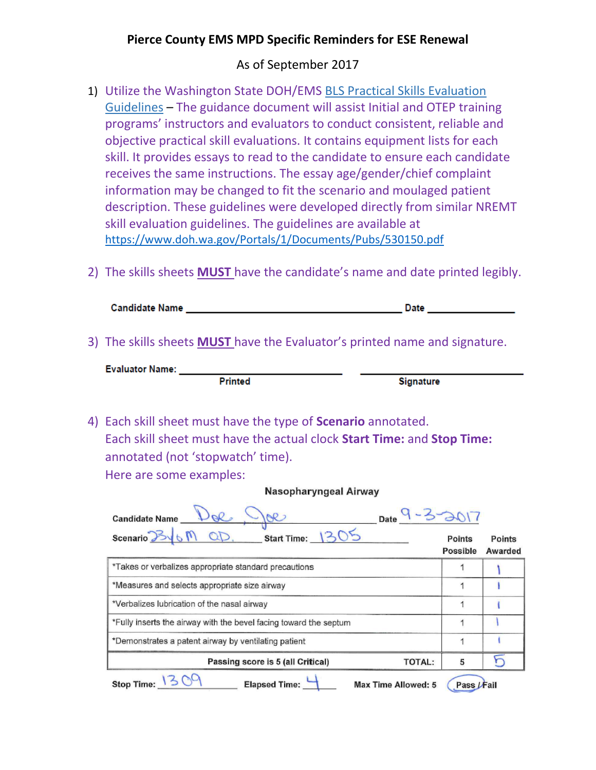## **Pierce County EMS MPD Specific Reminders for ESE Renewal**

## As of September 2017

- 1) Utilize the Washington State DOH/EMS BLS Practical Skills [Evaluation](https://www.doh.wa.gov/Documents/Pubs/530150.pdf) [Guidelines](https://www.doh.wa.gov/Documents/Pubs/530150.pdf) – The guidance document will assist Initial and OTEP training programs' instructors and evaluators to conduct consistent, reliable and objective practical skill evaluations. It contains equipment lists for each skill. It provides essays to read to the candidate to ensure each candidate receives the same instructions. The essay age/gender/chief complaint information may be changed to fit the scenario and moulaged patient description. These guidelines were developed directly from similar NREMT skill evaluation guidelines. The guidelines are available at <https://www.doh.wa.gov/Portals/1/Documents/Pubs/530150.pdf>
- 2) The skills sheets **MUST** have the candidate's name and date printed legibly.

| <b>Candidate Name</b> | Jate |
|-----------------------|------|
|-----------------------|------|

3) The skills sheets **MUST** have the Evaluator's printed name and signature.

| <b>Evaluator Name:</b> |                |                  |  |
|------------------------|----------------|------------------|--|
|                        | <b>Printed</b> | <b>Signature</b> |  |

4) Each skill sheet must have the type of **Scenario** annotated. Each skill sheet must have the actual clock **Start Time:** and **Stop Time:** annotated (not 'stopwatch' time).

Here are some examples:

| Date 9-3-2017<br><b>Candidate Name</b>                                  |                    |                   |
|-------------------------------------------------------------------------|--------------------|-------------------|
| Scenario By 6 M<br>Start Time: 130                                      | Points<br>Possible | Points<br>Awarded |
| *Takes or verbalizes appropriate standard precautions                   |                    |                   |
| *Measures and selects appropriate size airway                           |                    |                   |
| *Verbalizes lubrication of the nasal airway                             | 1                  |                   |
| *Fully inserts the airway with the bevel facing toward the septum       |                    |                   |
| *Demonstrates a patent airway by ventilating patient                    | 1                  |                   |
| Passing score is 5 (all Critical)<br><b>TOTAL:</b>                      | 5                  |                   |
| <b>Elapsed Time:</b><br><b>Stop Time:</b><br><b>Max Time Allowed: 5</b> | Pass               |                   |

Nasopharyngeal Airway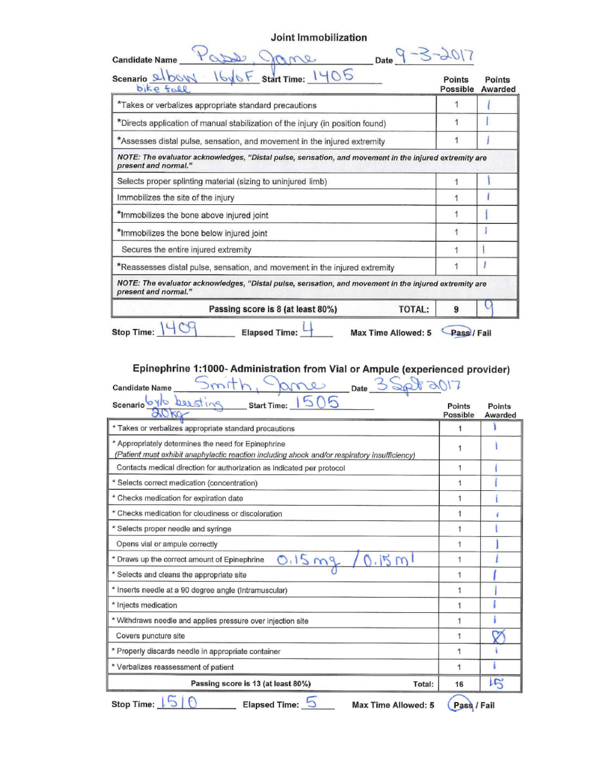Joint Immobilization

| Start Time: 1405<br>Scenario & bov<br>bike fall                                                                               | Points<br>Possible | Points<br>Awarded |
|-------------------------------------------------------------------------------------------------------------------------------|--------------------|-------------------|
| *Takes or verbalizes appropriate standard precautions                                                                         | 1                  |                   |
| *Directs application of manual stabilization of the injury (in position found)                                                | 1                  |                   |
| *Assesses distal pulse, sensation, and movement in the injured extremity                                                      |                    |                   |
| NOTE: The evaluator acknowledges, "Distal pulse, sensation, and movement in the injured extremity are<br>present and normal." |                    |                   |
| Selects proper splinting material (sizing to uninjured limb)                                                                  |                    |                   |
| Immobilizes the site of the injury                                                                                            | 1                  |                   |
| *Immobilizes the bone above injured joint                                                                                     |                    |                   |
| *Immobilizes the bone below injured joint                                                                                     |                    |                   |
| Secures the entire injured extremity                                                                                          | 1                  |                   |
| *Reassesses distal pulse, sensation, and movement in the injured extremity                                                    |                    |                   |
| NOTE: The evaluator acknowledges, "Distal pulse, sensation, and movement in the injured extremity are<br>present and normal." |                    |                   |
| <b>TOTAL:</b><br>Passing score is 8 (at least 80%)                                                                            | 9                  |                   |

# Epinephrine 1:1000- Administration from Vial or Ampule (experienced provider)

| Date -<br><b>Candidate Name</b>                                                                                                                      |                    |                   |
|------------------------------------------------------------------------------------------------------------------------------------------------------|--------------------|-------------------|
| scenario beesting<br>Start Time: 5<br>$30\kappa$                                                                                                     | Points<br>Possible | Points<br>Awarded |
| * Takes or verbalizes appropriate standard precautions                                                                                               | 1                  |                   |
| * Appropriately determines the need for Epinephrine<br>(Patient must exhibit anaphylactic reaction including shock and/or respiratory insufficiency) | 1                  |                   |
| Contacts medical direction for authorization as indicated per protocol                                                                               | 1                  |                   |
| * Selects correct medication (concentration)                                                                                                         | 1                  |                   |
| * Checks medication for expiration date                                                                                                              | 1                  |                   |
| * Checks medication for cloudiness or discoloration                                                                                                  | 1                  |                   |
| * Selects proper needle and syringe                                                                                                                  | 1                  |                   |
| Opens vial or ampule correctly                                                                                                                       | 1                  |                   |
| 0.15mg<br>15m<br>* Draws up the correct amount of Epinephrine                                                                                        | 1                  |                   |
| * Selects and cleans the appropriate site                                                                                                            | 1                  |                   |
| * Inserts needle at a 90 degree angle (Intramuscular)                                                                                                | 1                  |                   |
| * Injects medication                                                                                                                                 | 1                  |                   |
| * Withdraws needle and applies pressure over injection site                                                                                          | 1                  |                   |
| Covers puncture site                                                                                                                                 | 1                  |                   |
| * Properly discards needle in appropriate container                                                                                                  | 1                  |                   |
| * Verbalizes reassessment of patient                                                                                                                 | 1                  |                   |
| Passing score is 13 (at least 80%)<br>Total:                                                                                                         | 16                 | 15                |
| Elapsed Time: 0<br><b>Stop Time:</b><br>Max Time Allowed: 5                                                                                          | Pass / Fail        |                   |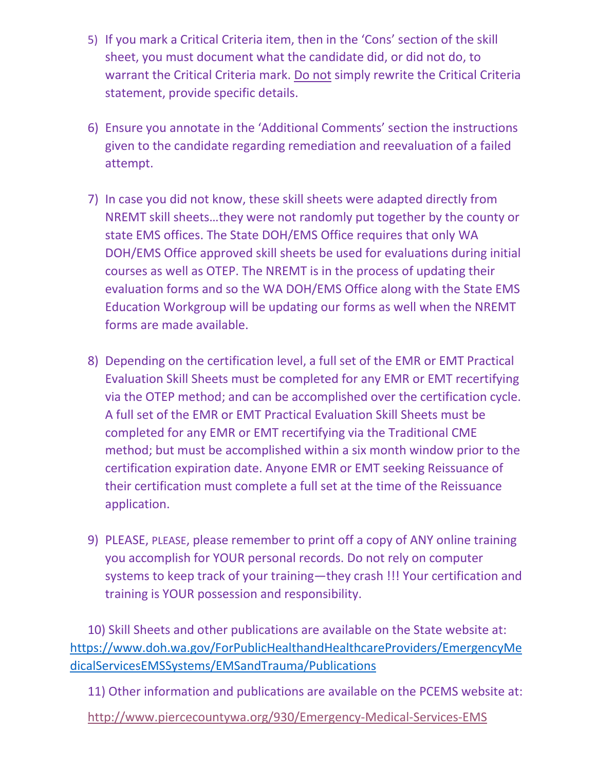- 5) If you mark a Critical Criteria item, then in the 'Cons' section of the skill sheet, you must document what the candidate did, or did not do, to warrant the Critical Criteria mark. Do not simply rewrite the Critical Criteria statement, provide specific details.
- 6) Ensure you annotate in the 'Additional Comments' section the instructions given to the candidate regarding remediation and reevaluation of a failed attempt.
- 7) In case you did not know, these skill sheets were adapted directly from NREMT skill sheets…they were not randomly put together by the county or state EMS offices. The State DOH/EMS Office requires that only WA DOH/EMS Office approved skill sheets be used for evaluations during initial courses as well as OTEP. The NREMT is in the process of updating their evaluation forms and so the WA DOH/EMS Office along with the State EMS Education Workgroup will be updating our forms as well when the NREMT forms are made available.
- 8) Depending on the certification level, a full set of the EMR or EMT Practical Evaluation Skill Sheets must be completed for any EMR or EMT recertifying via the OTEP method; and can be accomplished over the certification cycle. A full set of the EMR or EMT Practical Evaluation Skill Sheets must be completed for any EMR or EMT recertifying via the Traditional CME method; but must be accomplished within a six month window prior to the certification expiration date. Anyone EMR or EMT seeking Reissuance of their certification must complete a full set at the time of the Reissuance application.
- 9) PLEASE, PLEASE, please remember to print off a copy of ANY online training you accomplish for YOUR personal records. Do not rely on computer systems to keep track of your training—they crash !!! Your certification and training is YOUR possession and responsibility.

10) Skill Sheets and other publications are available on the State website at: [https://www.doh.wa.gov/ForPublicHealthandHealthcareProviders/EmergencyMe](https://www.doh.wa.gov/ForPublicHealthandHealthcareProviders/EmergencyMedicalServicesEMSSystems/EMSandTrauma/Publications) [dicalServicesEMSSystems/EMSandTrauma/Publications](https://www.doh.wa.gov/ForPublicHealthandHealthcareProviders/EmergencyMedicalServicesEMSSystems/EMSandTrauma/Publications)

11) Other information and publications are available on the PCEMS website at:

<http://www.piercecountywa.org/930/Emergency-Medical-Services-EMS>